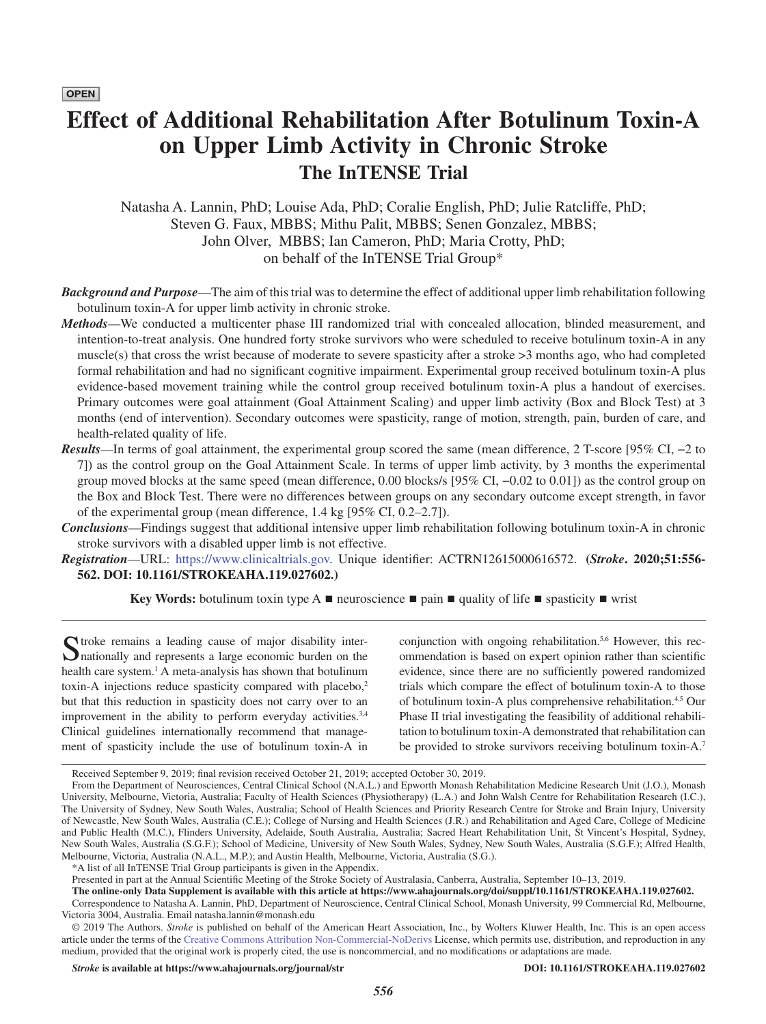**OPEN** 

# **Effect of Additional Rehabilitation After Botulinum Toxin-A on Upper Limb Activity in Chronic Stroke The InTENSE Trial**

Natasha A. Lannin, PhD; Louise Ada, PhD; Coralie English, PhD; Julie Ratcliffe, PhD; Steven G. Faux, MBBS; Mithu Palit, MBBS; Senen Gonzalez, MBBS; John Olver, MBBS; Ian Cameron, PhD; Maria Crotty, PhD; on behalf of the InTENSE Trial Group\*

- *Background and Purpose*—The aim of this trial was to determine the effect of additional upper limb rehabilitation following botulinum toxin-A for upper limb activity in chronic stroke.
- *Methods*—We conducted a multicenter phase III randomized trial with concealed allocation, blinded measurement, and intention-to-treat analysis. One hundred forty stroke survivors who were scheduled to receive botulinum toxin-A in any muscle(s) that cross the wrist because of moderate to severe spasticity after a stroke >3 months ago, who had completed formal rehabilitation and had no significant cognitive impairment. Experimental group received botulinum toxin-A plus evidence-based movement training while the control group received botulinum toxin-A plus a handout of exercises. Primary outcomes were goal attainment (Goal Attainment Scaling) and upper limb activity (Box and Block Test) at 3 months (end of intervention). Secondary outcomes were spasticity, range of motion, strength, pain, burden of care, and health-related quality of life.
- *Results*—In terms of goal attainment, the experimental group scored the same (mean difference, 2 T-score [95% CI, −2 to 7]) as the control group on the Goal Attainment Scale. In terms of upper limb activity, by 3 months the experimental group moved blocks at the same speed (mean difference, 0.00 blocks/s [95% CI, −0.02 to 0.01]) as the control group on the Box and Block Test. There were no differences between groups on any secondary outcome except strength, in favor of the experimental group (mean difference, 1.4 kg [95% CI, 0.2–2.7]).

*Conclusions*—Findings suggest that additional intensive upper limb rehabilitation following botulinum toxin-A in chronic stroke survivors with a disabled upper limb is not effective.

*Registration*—URL: [https://www.clinicaltrials.gov.](https://www.clinicaltrials.gov) Unique identifier: ACTRN12615000616572. **(***Stroke***. 2020;51:556- 562. DOI: 10.1161/STROKEAHA.119.027602.)**

**Key Words:** botulinum toxin type A ■ neuroscience ■ pain ■ quality of life ■ spasticity ■ wrist

Stroke remains a leading cause of major disability inter-<br>
Inationally and represents a large economic burden on the health care system.<sup>1</sup> A meta-analysis has shown that botulinum toxin-A injections reduce spasticity compared with placebo,<sup>2</sup> but that this reduction in spasticity does not carry over to an improvement in the ability to perform everyday activities.<sup>3,4</sup> Clinical guidelines internationally recommend that management of spasticity include the use of botulinum toxin-A in

conjunction with ongoing rehabilitation.<sup>5,6</sup> However, this recommendation is based on expert opinion rather than scientific evidence, since there are no sufficiently powered randomized trials which compare the effect of botulinum toxin-A to those of botulinum toxin-A plus comprehensive rehabilitation.4,5 Our Phase II trial investigating the feasibility of additional rehabilitation to botulinum toxin-A demonstrated that rehabilitation can be provided to stroke survivors receiving botulinum toxin-A.<sup>7</sup>

Presented in part at the Annual Scientific Meeting of the Stroke Society of Australasia, Canberra, Australia, September 10–13, 2019.

*Stroke* **is available at<https://www.ahajournals.org/journal/str> DOI: 10.1161/STROKEAHA.119.027602**

Received September 9, 2019; final revision received October 21, 2019; accepted October 30, 2019.

From the Department of Neurosciences, Central Clinical School (N.A.L.) and Epworth Monash Rehabilitation Medicine Research Unit (J.O.), Monash University, Melbourne, Victoria, Australia; Faculty of Health Sciences (Physiotherapy) (L.A.) and John Walsh Centre for Rehabilitation Research (I.C.), The University of Sydney, New South Wales, Australia; School of Health Sciences and Priority Research Centre for Stroke and Brain Injury, University of Newcastle, New South Wales, Australia (C.E.); College of Nursing and Health Sciences (J.R.) and Rehabilitation and Aged Care, College of Medicine and Public Health (M.C.), Flinders University, Adelaide, South Australia, Australia; Sacred Heart Rehabilitation Unit, St Vincent's Hospital, Sydney, New South Wales, Australia (S.G.F.); School of Medicine, University of New South Wales, Sydney, New South Wales, Australia (S.G.F.); Alfred Health, Melbourne, Victoria, Australia (N.A.L., M.P.); and Austin Health, Melbourne, Victoria, Australia (S.G.).

<sup>\*</sup>A list of all InTENSE Trial Group participants is given in the Appendix.

**The online-only Data Supplement is available with this article at <https://www.ahajournals.org/doi/suppl/10.1161/STROKEAHA.119.027602>.** Correspondence to Natasha A. Lannin, PhD, Department of Neuroscience, Central Clinical School, Monash University, 99 Commercial Rd, Melbourne, Victoria 3004, Australia. Email [natasha.lannin@monash.edu](mailto:natasha.lannin@monash.edu)

<sup>© 2019</sup> The Authors. *Stroke* is published on behalf of the American Heart Association, Inc., by Wolters Kluwer Health, Inc. This is an open access article under the terms of the [Creative Commons Attribution Non-Commercial-NoDerivs](https://creativecommons.org/licenses/by-nc-nd/4.0/) License, which permits use, distribution, and reproduction in any medium, provided that the original work is properly cited, the use is noncommercial, and no modifications or adaptations are made.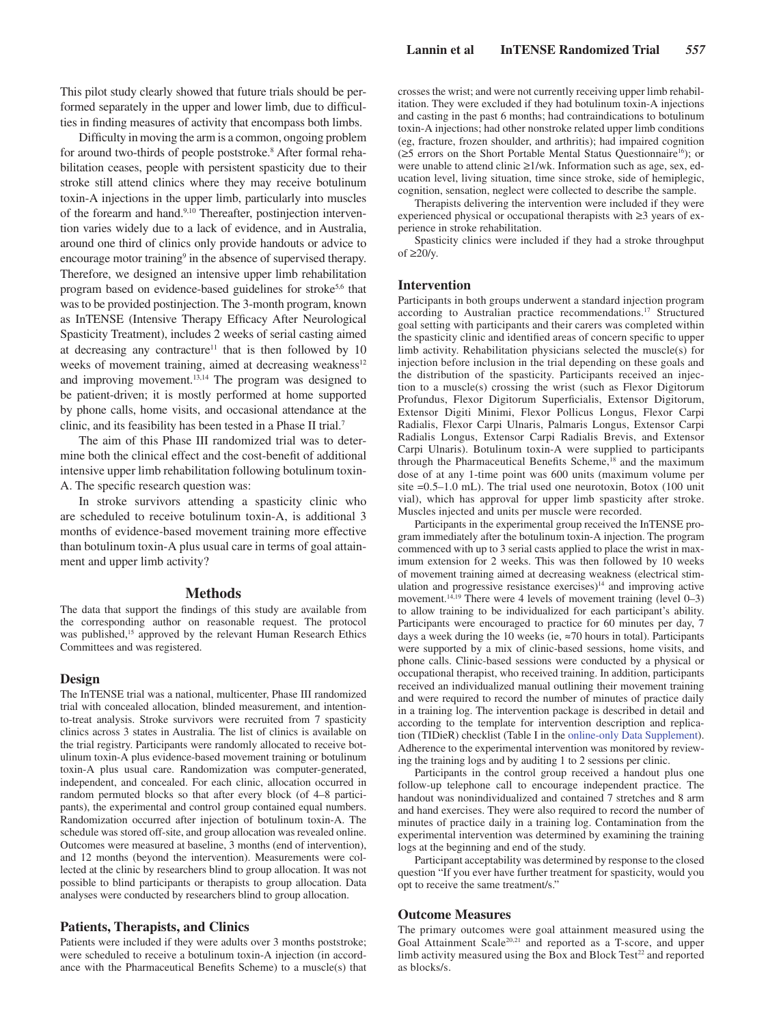This pilot study clearly showed that future trials should be performed separately in the upper and lower limb, due to difficulties in finding measures of activity that encompass both limbs.

Difficulty in moving the arm is a common, ongoing problem for around two-thirds of people poststroke.<sup>8</sup> After formal rehabilitation ceases, people with persistent spasticity due to their stroke still attend clinics where they may receive botulinum toxin-A injections in the upper limb, particularly into muscles of the forearm and hand.9,10 Thereafter, postinjection intervention varies widely due to a lack of evidence, and in Australia, around one third of clinics only provide handouts or advice to encourage motor training<sup>9</sup> in the absence of supervised therapy. Therefore, we designed an intensive upper limb rehabilitation program based on evidence-based guidelines for stroke<sup>5,6</sup> that was to be provided postinjection. The 3-month program, known as InTENSE (Intensive Therapy Efficacy After Neurological Spasticity Treatment), includes 2 weeks of serial casting aimed at decreasing any contracture<sup>11</sup> that is then followed by  $10$ weeks of movement training, aimed at decreasing weakness<sup>12</sup> and improving movement.<sup>13,14</sup> The program was designed to be patient-driven; it is mostly performed at home supported by phone calls, home visits, and occasional attendance at the clinic, and its feasibility has been tested in a Phase II trial.7

The aim of this Phase III randomized trial was to determine both the clinical effect and the cost-benefit of additional intensive upper limb rehabilitation following botulinum toxin-A. The specific research question was:

In stroke survivors attending a spasticity clinic who are scheduled to receive botulinum toxin-A, is additional 3 months of evidence-based movement training more effective than botulinum toxin-A plus usual care in terms of goal attainment and upper limb activity?

## **Methods**

The data that support the findings of this study are available from the corresponding author on reasonable request. The protocol was published,<sup>15</sup> approved by the relevant Human Research Ethics Committees and was registered.

## **Design**

The InTENSE trial was a national, multicenter, Phase III randomized trial with concealed allocation, blinded measurement, and intentionto-treat analysis. Stroke survivors were recruited from 7 spasticity clinics across 3 states in Australia. The list of clinics is available on the trial registry. Participants were randomly allocated to receive botulinum toxin-A plus evidence-based movement training or botulinum toxin-A plus usual care. Randomization was computer-generated, independent, and concealed. For each clinic, allocation occurred in random permuted blocks so that after every block (of 4–8 participants), the experimental and control group contained equal numbers. Randomization occurred after injection of botulinum toxin-A. The schedule was stored off-site, and group allocation was revealed online. Outcomes were measured at baseline, 3 months (end of intervention), and 12 months (beyond the intervention). Measurements were collected at the clinic by researchers blind to group allocation. It was not possible to blind participants or therapists to group allocation. Data analyses were conducted by researchers blind to group allocation.

## **Patients, Therapists, and Clinics**

Patients were included if they were adults over 3 months poststroke; were scheduled to receive a botulinum toxin-A injection (in accordance with the Pharmaceutical Benefits Scheme) to a muscle(s) that crosses the wrist; and were not currently receiving upper limb rehabilitation. They were excluded if they had botulinum toxin-A injections and casting in the past 6 months; had contraindications to botulinum toxin-A injections; had other nonstroke related upper limb conditions (eg, fracture, frozen shoulder, and arthritis); had impaired cognition ( $\geq$ 5 errors on the Short Portable Mental Status Questionnaire<sup>16</sup>); or were unable to attend clinic ≥1/wk. Information such as age, sex, education level, living situation, time since stroke, side of hemiplegic, cognition, sensation, neglect were collected to describe the sample.

Therapists delivering the intervention were included if they were experienced physical or occupational therapists with ≥3 years of experience in stroke rehabilitation.

Spasticity clinics were included if they had a stroke throughput of  $≥20/v$ .

# **Intervention**

Participants in both groups underwent a standard injection program according to Australian practice recommendations.17 Structured goal setting with participants and their carers was completed within the spasticity clinic and identified areas of concern specific to upper limb activity. Rehabilitation physicians selected the muscle(s) for injection before inclusion in the trial depending on these goals and the distribution of the spasticity. Participants received an injection to a muscle(s) crossing the wrist (such as Flexor Digitorum Profundus, Flexor Digitorum Superficialis, Extensor Digitorum, Extensor Digiti Minimi, Flexor Pollicus Longus, Flexor Carpi Radialis, Flexor Carpi Ulnaris, Palmaris Longus, Extensor Carpi Radialis Longus, Extensor Carpi Radialis Brevis, and Extensor Carpi Ulnaris). Botulinum toxin-A were supplied to participants through the Pharmaceutical Benefits Scheme,<sup>18</sup> and the maximum dose of at any 1-time point was 600 units (maximum volume per site =0.5–1.0 mL). The trial used one neurotoxin, Botox (100 unit vial), which has approval for upper limb spasticity after stroke. Muscles injected and units per muscle were recorded.

Participants in the experimental group received the InTENSE program immediately after the botulinum toxin-A injection. The program commenced with up to 3 serial casts applied to place the wrist in maximum extension for 2 weeks. This was then followed by 10 weeks of movement training aimed at decreasing weakness (electrical stimulation and progressive resistance exercises) $14$  and improving active movement.<sup>14,19</sup> There were 4 levels of movement training (level 0–3) to allow training to be individualized for each participant's ability. Participants were encouraged to practice for 60 minutes per day, 7 days a week during the 10 weeks (ie, ≈70 hours in total). Participants were supported by a mix of clinic-based sessions, home visits, and phone calls. Clinic-based sessions were conducted by a physical or occupational therapist, who received training. In addition, participants received an individualized manual outlining their movement training and were required to record the number of minutes of practice daily in a training log. The intervention package is described in detail and according to the template for intervention description and replication (TIDieR) checklist (Table I in the [online-only Data Supplement](https://www.ahajournals.org/doi/suppl/10.1161/STROKEAHA.119.027602)). Adherence to the experimental intervention was monitored by reviewing the training logs and by auditing 1 to 2 sessions per clinic.

Participants in the control group received a handout plus one follow-up telephone call to encourage independent practice. The handout was nonindividualized and contained 7 stretches and 8 arm and hand exercises. They were also required to record the number of minutes of practice daily in a training log. Contamination from the experimental intervention was determined by examining the training logs at the beginning and end of the study.

Participant acceptability was determined by response to the closed question "If you ever have further treatment for spasticity, would you opt to receive the same treatment/s."

## **Outcome Measures**

The primary outcomes were goal attainment measured using the Goal Attainment Scale20,21 and reported as a T-score, and upper limb activity measured using the Box and Block Test $2<sup>22</sup>$  and reported as blocks/s.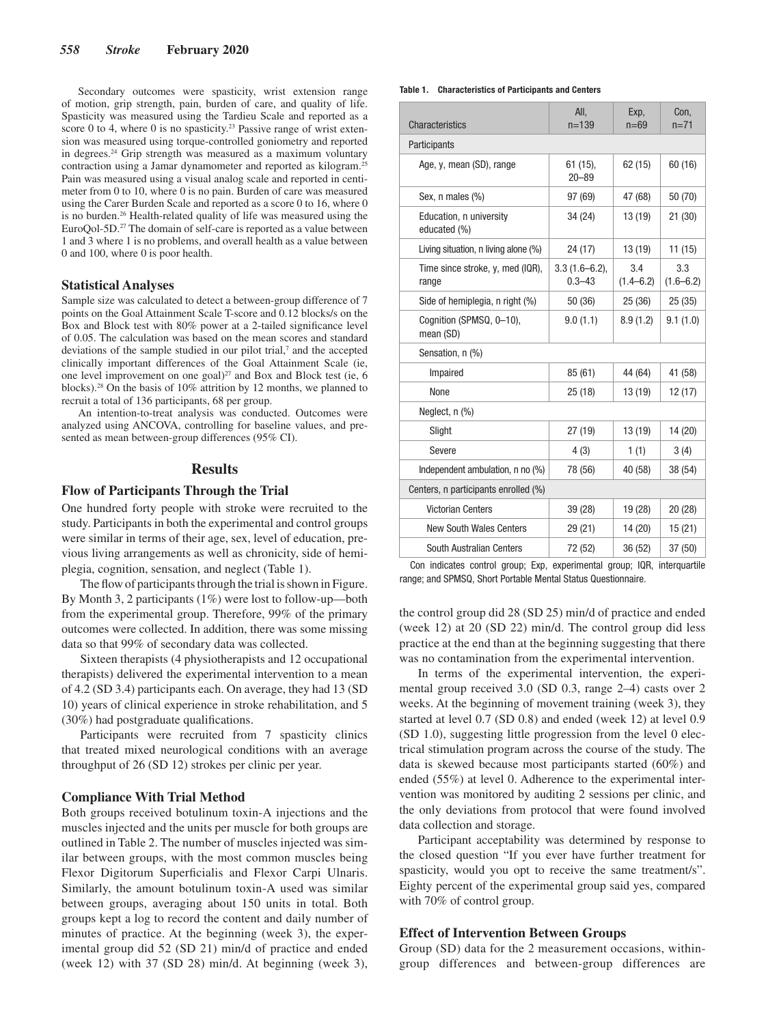Secondary outcomes were spasticity, wrist extension range of motion, grip strength, pain, burden of care, and quality of life. Spasticity was measured using the Tardieu Scale and reported as a score 0 to 4, where 0 is no spasticity.<sup>23</sup> Passive range of wrist extension was measured using torque-controlled goniometry and reported in degrees.24 Grip strength was measured as a maximum voluntary contraction using a Jamar dynamometer and reported as kilogram.25 Pain was measured using a visual analog scale and reported in centimeter from 0 to 10, where 0 is no pain. Burden of care was measured using the Carer Burden Scale and reported as a score 0 to 16, where 0 is no burden.<sup>26</sup> Health-related quality of life was measured using the EuroQol-5D.27 The domain of self-care is reported as a value between 1 and 3 where 1 is no problems, and overall health as a value between 0 and 100, where 0 is poor health.

## **Statistical Analyses**

Sample size was calculated to detect a between-group difference of 7 points on the Goal Attainment Scale T-score and 0.12 blocks/s on the Box and Block test with 80% power at a 2-tailed significance level of 0.05. The calculation was based on the mean scores and standard deviations of the sample studied in our pilot trial,<sup>7</sup> and the accepted clinically important differences of the Goal Attainment Scale (ie, one level improvement on one goal) $27$  and Box and Block test (ie, 6 blocks).28 On the basis of 10% attrition by 12 months, we planned to recruit a total of 136 participants, 68 per group.

An intention-to-treat analysis was conducted. Outcomes were analyzed using ANCOVA, controlling for baseline values, and presented as mean between-group differences (95% CI).

# **Results**

# **Flow of Participants Through the Trial**

One hundred forty people with stroke were recruited to the study. Participants in both the experimental and control groups were similar in terms of their age, sex, level of education, previous living arrangements as well as chronicity, side of hemiplegia, cognition, sensation, and neglect (Table 1).

The flow of participants through the trial is shown in Figure. By Month 3, 2 participants (1%) were lost to follow-up—both from the experimental group. Therefore, 99% of the primary outcomes were collected. In addition, there was some missing data so that 99% of secondary data was collected.

Sixteen therapists (4 physiotherapists and 12 occupational therapists) delivered the experimental intervention to a mean of 4.2 (SD 3.4) participants each. On average, they had 13 (SD 10) years of clinical experience in stroke rehabilitation, and 5 (30%) had postgraduate qualifications.

Participants were recruited from 7 spasticity clinics that treated mixed neurological conditions with an average throughput of 26 (SD 12) strokes per clinic per year.

## **Compliance With Trial Method**

Both groups received botulinum toxin-A injections and the muscles injected and the units per muscle for both groups are outlined in Table 2. The number of muscles injected was similar between groups, with the most common muscles being Flexor Digitorum Superficialis and Flexor Carpi Ulnaris. Similarly, the amount botulinum toxin-A used was similar between groups, averaging about 150 units in total. Both groups kept a log to record the content and daily number of minutes of practice. At the beginning (week 3), the experimental group did 52 (SD 21) min/d of practice and ended (week 12) with 37 (SD 28) min/d. At beginning (week 3),

#### **Table 1. Characteristics of Participants and Centers**

| Characteristics                           | All,<br>$n = 139$             | Exp.<br>$n=69$       | Con.<br>$n=71$       |  |  |  |  |  |
|-------------------------------------------|-------------------------------|----------------------|----------------------|--|--|--|--|--|
| Participants                              |                               |                      |                      |  |  |  |  |  |
| Age, y, mean (SD), range                  | 61 (15),<br>$20 - 89$         | 62(15)               | 60 (16)              |  |  |  |  |  |
| Sex, n males (%)                          | 97 (69)                       | 47 (68)              | 50 (70)              |  |  |  |  |  |
| Education, n university<br>educated (%)   | 34 (24)                       | 13(19)               | 21(30)               |  |  |  |  |  |
| Living situation, n living alone (%)      | 24 (17)                       | 13 (19)              | 11(15)               |  |  |  |  |  |
| Time since stroke, y, med (IQR),<br>range | $3.3(1.6-6.2),$<br>$0.3 - 43$ | 3.4<br>$(1.4 - 6.2)$ | 3.3<br>$(1.6 - 6.2)$ |  |  |  |  |  |
| Side of hemiplegia, n right (%)           | 50 (36)                       | 25(36)               | 25(35)               |  |  |  |  |  |
| Cognition (SPMSQ, 0-10),<br>mean (SD)     | 9.0(1.1)                      | 8.9(1.2)             | 9.1(1.0)             |  |  |  |  |  |
| Sensation, n (%)                          |                               |                      |                      |  |  |  |  |  |
| Impaired                                  | 85 (61)                       | 44 (64)              | 41 (58)              |  |  |  |  |  |
| None                                      | 25 (18)                       | 13 (19)              | 12 (17)              |  |  |  |  |  |
| Neglect, n (%)                            |                               |                      |                      |  |  |  |  |  |
| Slight                                    | 27 (19)                       | 13 (19)              | 14 (20)              |  |  |  |  |  |
| Severe                                    | 4(3)                          | 1(1)                 | 3(4)                 |  |  |  |  |  |
| Independent ambulation, n no (%)          | 78 (56)                       | 40 (58)              | 38 (54)              |  |  |  |  |  |
| Centers, n participants enrolled (%)      |                               |                      |                      |  |  |  |  |  |
| <b>Victorian Centers</b>                  | 39 (28)                       | 19 (28)              | 20(28)               |  |  |  |  |  |
| <b>New South Wales Centers</b>            | 29 (21)                       | 14 (20)              | 15(21)               |  |  |  |  |  |
| South Australian Centers                  | 72 (52)                       | 36(52)               | 37 (50)              |  |  |  |  |  |

Con indicates control group; Exp, experimental group; IQR, interquartile range; and SPMSQ, Short Portable Mental Status Questionnaire.

the control group did 28 (SD 25) min/d of practice and ended (week 12) at 20 (SD 22) min/d. The control group did less practice at the end than at the beginning suggesting that there was no contamination from the experimental intervention.

In terms of the experimental intervention, the experimental group received 3.0 (SD 0.3, range 2–4) casts over 2 weeks. At the beginning of movement training (week 3), they started at level 0.7 (SD 0.8) and ended (week 12) at level 0.9 (SD 1.0), suggesting little progression from the level 0 electrical stimulation program across the course of the study. The data is skewed because most participants started (60%) and ended (55%) at level 0. Adherence to the experimental intervention was monitored by auditing 2 sessions per clinic, and the only deviations from protocol that were found involved data collection and storage.

Participant acceptability was determined by response to the closed question "If you ever have further treatment for spasticity, would you opt to receive the same treatment/s". Eighty percent of the experimental group said yes, compared with 70% of control group.

# **Effect of Intervention Between Groups**

Group (SD) data for the 2 measurement occasions, withingroup differences and between-group differences are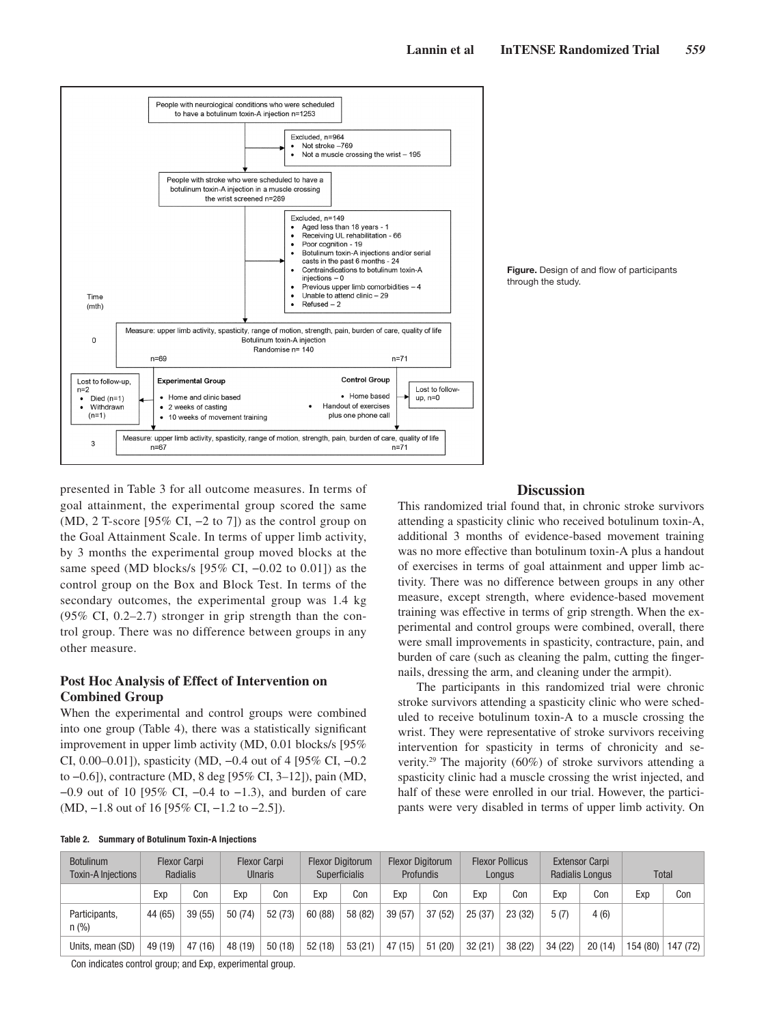



presented in Table 3 for all outcome measures. In terms of goal attainment, the experimental group scored the same (MD, 2 T-score [95% CI, −2 to 7]) as the control group on the Goal Attainment Scale. In terms of upper limb activity, by 3 months the experimental group moved blocks at the same speed (MD blocks/s [95% CI,  $-0.02$  to 0.01]) as the control group on the Box and Block Test. In terms of the secondary outcomes, the experimental group was 1.4 kg (95% CI, 0.2–2.7) stronger in grip strength than the control group. There was no difference between groups in any other measure.

# **Post Hoc Analysis of Effect of Intervention on Combined Group**

When the experimental and control groups were combined into one group (Table 4), there was a statistically significant improvement in upper limb activity (MD, 0.01 blocks/s [95% CI, 0.00–0.01]), spasticity (MD, −0.4 out of 4 [95% CI, −0.2 to −0.6]), contracture (MD, 8 deg [95% CI, 3–12]), pain (MD, −0.9 out of 10 [95% CI, −0.4 to −1.3), and burden of care (MD, −1.8 out of 16 [95% CI, −1.2 to −2.5]).

# **Discussion**

This randomized trial found that, in chronic stroke survivors attending a spasticity clinic who received botulinum toxin-A, additional 3 months of evidence-based movement training was no more effective than botulinum toxin-A plus a handout of exercises in terms of goal attainment and upper limb activity. There was no difference between groups in any other measure, except strength, where evidence-based movement training was effective in terms of grip strength. When the experimental and control groups were combined, overall, there were small improvements in spasticity, contracture, pain, and burden of care (such as cleaning the palm, cutting the fingernails, dressing the arm, and cleaning under the armpit).

The participants in this randomized trial were chronic stroke survivors attending a spasticity clinic who were scheduled to receive botulinum toxin-A to a muscle crossing the wrist. They were representative of stroke survivors receiving intervention for spasticity in terms of chronicity and severity.29 The majority (60%) of stroke survivors attending a spasticity clinic had a muscle crossing the wrist injected, and half of these were enrolled in our trial. However, the participants were very disabled in terms of upper limb activity. On

| <b>Botulinum</b><br><b>Toxin-A Injections</b> |         | <b>Flexor Carpi</b><br>Radialis |         | <b>Flexor Carpi</b><br><b>Ulnaris</b> |         | <b>Flexor Digitorum</b><br>Superficialis |         | <b>Flexor Digitorum</b><br><b>Profundis</b> |        | <b>Flexor Pollicus</b><br>Longus |         | <b>Extensor Carpi</b><br>Radialis Longus |          | <b>Total</b> |
|-----------------------------------------------|---------|---------------------------------|---------|---------------------------------------|---------|------------------------------------------|---------|---------------------------------------------|--------|----------------------------------|---------|------------------------------------------|----------|--------------|
|                                               | Exp     | Con                             | Exp     | Con                                   | Exp     | Con                                      | Exp     | Con                                         | Exp    | Con                              | Exp     | Con                                      | Exp      | Con          |
| Participants,<br>$n$ (%)                      | 44 (65) | 39(55)                          | 50 (74) | 52 (73)                               | 60 (88) | 58 (82)                                  | 39(57)  | 37(52)                                      | 25(37) | 23(32)                           | 5(7)    | 4(6)                                     |          |              |
| Units, mean (SD)                              | 49 (19) | 47 (16)                         | 48 (19) | 50(18)                                | 52(18)  | 53(21)                                   | 47 (15) | 51(20)                                      | 32(21) | 38 (22)                          | 34 (22) | 20(14)                                   | 154 (80) | 147 (72)     |

#### **Table 2. Summary of Botulinum Toxin-A Injections**

Con indicates control group; and Exp, experimental group.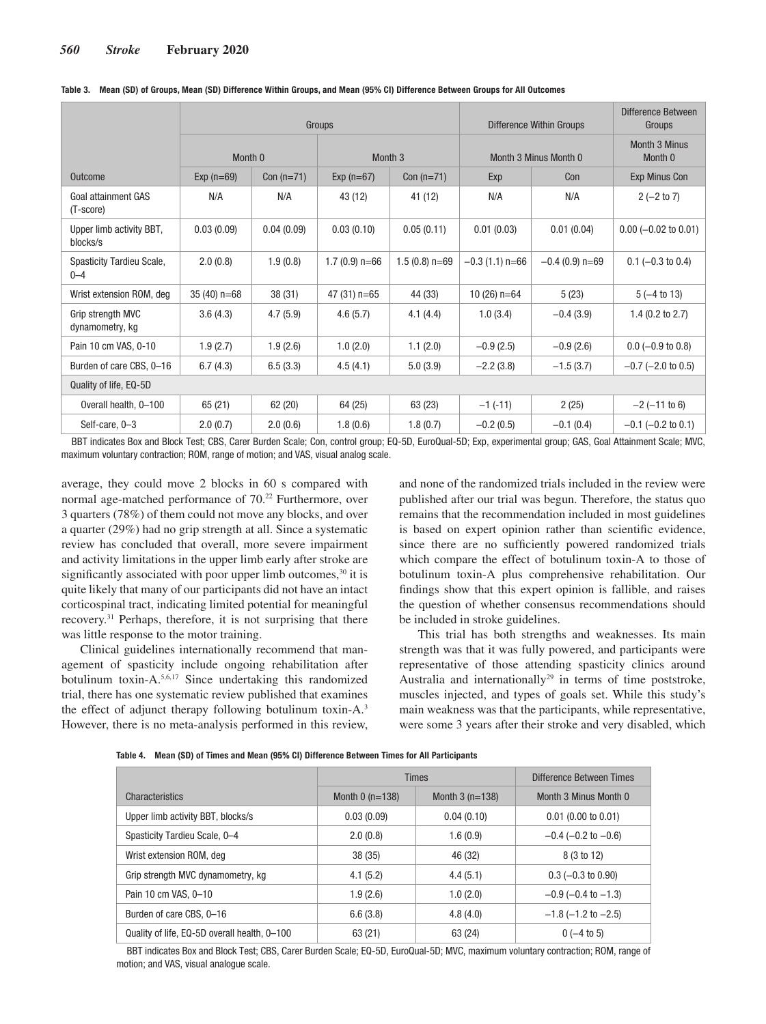|                                         | Groups        |              |                              |                 | <b>Difference Within Groups</b> | Difference Between<br>Groups |                         |  |
|-----------------------------------------|---------------|--------------|------------------------------|-----------------|---------------------------------|------------------------------|-------------------------|--|
|                                         | Month 0       |              | Month 3                      |                 | Month 3 Minus Month 0           | Month 3 Minus<br>Month 0     |                         |  |
| <b>Outcome</b>                          | $Exp(n=69)$   | Con $(n=71)$ | Exp $(n=67)$<br>Con $(n=71)$ |                 | Exp                             | Con                          | Exp Minus Con           |  |
| <b>Goal attainment GAS</b><br>(T-score) | N/A           | N/A          | 43 (12)                      | 41 (12)         | N/A                             | N/A                          | $2 (-2 to 7)$           |  |
| Upper limb activity BBT,<br>blocks/s    | 0.03(0.09)    | 0.04(0.09)   | 0.03(0.10)                   | 0.05(0.11)      | 0.01(0.03)                      | 0.01(0.04)                   | $0.00$ (-0.02 to 0.01)  |  |
| Spasticity Tardieu Scale,<br>$0 - 4$    | 2.0(0.8)      | 1.9(0.8)     | $1.7(0.9)$ n=66              | $1.5(0.8)$ n=69 | $-0.3(1.1)$ n=66                | $-0.4$ (0.9) n=69            | $0.1$ (-0.3 to 0.4)     |  |
| Wrist extension ROM, deg                | $35(40)$ n=68 | 38 (31)      | $47(31) n=65$                | 44 (33)         | 10 $(26)$ n=64                  | 5(23)                        | $5(-4 to 13)$           |  |
| Grip strength MVC<br>dynamometry, kg    | 3.6(4.3)      | 4.7(5.9)     | 4.6(5.7)                     | 4.1(4.4)        | 1.0(3.4)                        | $-0.4(3.9)$                  | 1.4 $(0.2$ to 2.7)      |  |
| Pain 10 cm VAS, 0-10                    | 1.9(2.7)      | 1.9(2.6)     | 1.0(2.0)                     | 1.1(2.0)        | $-0.9(2.5)$                     | $-0.9(2.6)$                  | $0.0$ (-0.9 to 0.8)     |  |
| Burden of care CBS, 0-16                | 6.7(4.3)      | 6.5(3.3)     | 4.5(4.1)                     | 5.0(3.9)        | $-2.2(3.8)$                     | $-1.5(3.7)$                  | $-0.7$ ( $-2.0$ to 0.5) |  |
| Quality of life, EQ-5D                  |               |              |                              |                 |                                 |                              |                         |  |
| Overall health, 0-100                   | 65 (21)       | 62 (20)      | 64 (25)                      | 63 (23)         | $-1$ (-11)                      | 2(25)                        | $-2$ ( $-11$ to 6)      |  |
| Self-care, 0-3                          | 2.0(0.7)      | 2.0(0.6)     | 1.8(0.6)                     | 1.8(0.7)        | $-0.2(0.5)$                     | $-0.1(0.4)$                  | $-0.1$ ( $-0.2$ to 0.1) |  |

**Table 3. Mean (SD) of Groups, Mean (SD) Difference Within Groups, and Mean (95% CI) Difference Between Groups for All Outcomes**

BBT indicates Box and Block Test; CBS, Carer Burden Scale; Con, control group; EQ-5D, EuroQual-5D; Exp, experimental group; GAS, Goal Attainment Scale; MVC, maximum voluntary contraction; ROM, range of motion; and VAS, visual analog scale.

average, they could move 2 blocks in 60 s compared with normal age-matched performance of 70.<sup>22</sup> Furthermore, over 3 quarters (78%) of them could not move any blocks, and over a quarter (29%) had no grip strength at all. Since a systematic review has concluded that overall, more severe impairment and activity limitations in the upper limb early after stroke are significantly associated with poor upper limb outcomes,<sup>30</sup> it is quite likely that many of our participants did not have an intact corticospinal tract, indicating limited potential for meaningful recovery.31 Perhaps, therefore, it is not surprising that there was little response to the motor training.

Clinical guidelines internationally recommend that management of spasticity include ongoing rehabilitation after botulinum toxin-A.5,6,17 Since undertaking this randomized trial, there has one systematic review published that examines the effect of adjunct therapy following botulinum toxin-A.3 However, there is no meta-analysis performed in this review, and none of the randomized trials included in the review were published after our trial was begun. Therefore, the status quo remains that the recommendation included in most guidelines is based on expert opinion rather than scientific evidence, since there are no sufficiently powered randomized trials which compare the effect of botulinum toxin-A to those of botulinum toxin-A plus comprehensive rehabilitation. Our findings show that this expert opinion is fallible, and raises the question of whether consensus recommendations should be included in stroke guidelines.

This trial has both strengths and weaknesses. Its main strength was that it was fully powered, and participants were representative of those attending spasticity clinics around Australia and internationally<sup>29</sup> in terms of time poststroke, muscles injected, and types of goals set. While this study's main weakness was that the participants, while representative, were some 3 years after their stroke and very disabled, which

| שנוואסוטו וויז וט ויסטוויון וויסטוויט שטוויט וויסטוויט (סלטן וואסוד מסורה וויס נשטן וואסוד - די סופא                         |                   |                          |                               |  |  |  |  |  |
|------------------------------------------------------------------------------------------------------------------------------|-------------------|--------------------------|-------------------------------|--|--|--|--|--|
|                                                                                                                              | <b>Times</b>      | Difference Between Times |                               |  |  |  |  |  |
| Characteristics                                                                                                              | Month $0($ n=138) | Month $3(n=138)$         | Month 3 Minus Month 0         |  |  |  |  |  |
| Upper limb activity BBT, blocks/s                                                                                            | 0.03(0.09)        | 0.04(0.10)               | $0.01$ (0.00 to 0.01)         |  |  |  |  |  |
| Spasticity Tardieu Scale, 0-4                                                                                                | 2.0(0.8)          | 1.6(0.9)                 | $-0.4$ ( $-0.2$ to $-0.6$ )   |  |  |  |  |  |
| Wrist extension ROM, deg                                                                                                     | 38(35)            | 46 (32)                  | 8 (3 to 12)                   |  |  |  |  |  |
| Grip strength MVC dynamometry, kg                                                                                            | 4.1(5.2)          | 4.4(5.1)                 | $0.3 (-0.3 \text{ to } 0.90)$ |  |  |  |  |  |
| Pain 10 cm VAS, 0-10                                                                                                         | 1.9(2.6)          | 1.0(2.0)                 | $-0.9$ ( $-0.4$ to $-1.3$ )   |  |  |  |  |  |
| Burden of care CBS, 0-16                                                                                                     | 6.6(3.8)          | 4.8(4.0)                 | $-1.8$ ( $-1.2$ to $-2.5$ )   |  |  |  |  |  |
| Quality of life. EQ-5D overall health, 0-100                                                                                 | 63(21)            | 63 (24)                  | $0(-4 \text{ to } 5)$         |  |  |  |  |  |
| BBT indicates Box and Block Test: CBS, Carer Burden Scale: EQ-5D, EuroQual-5D; MVC, maximum voluntary contraction; ROM, rang |                   |                          |                               |  |  |  |  |  |

**Table 4. Mean (SD) of Times and Mean (95% CI) Difference Between Times for All Participants**

BBT indicates Box and Block Test; CBS, Carer Burden Scale; EQ-5D, EuroQual-5D; MVC, maximum voluntary contraction; ROM, range of motion; and VAS, visual analogue scale.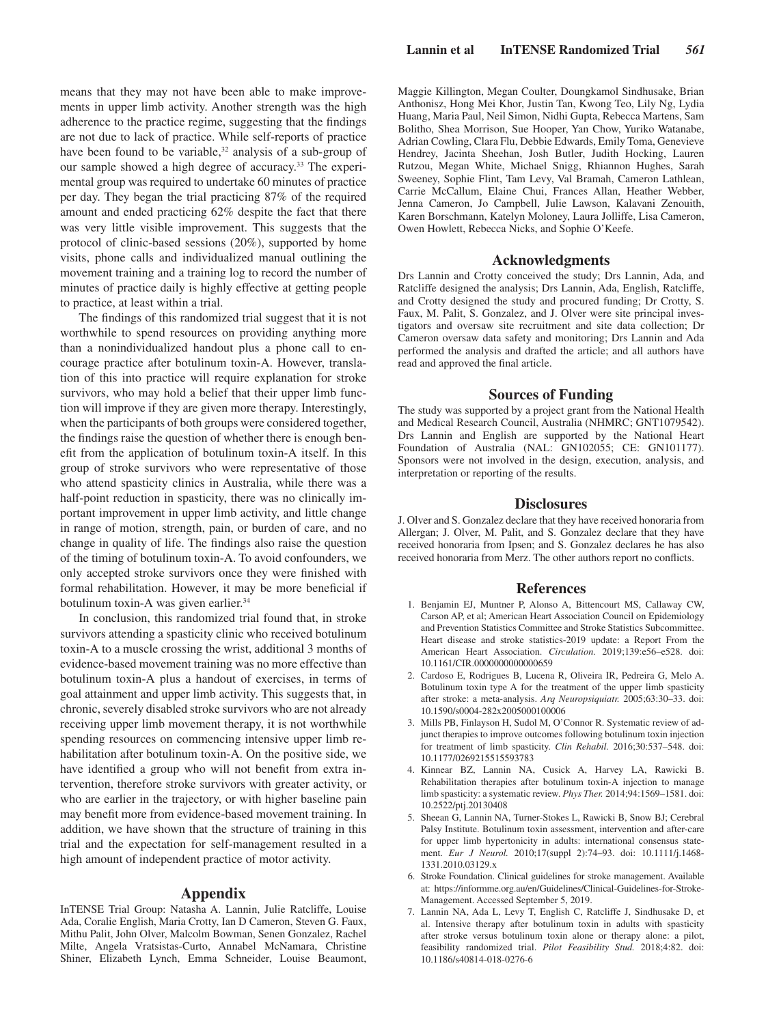means that they may not have been able to make improvements in upper limb activity. Another strength was the high adherence to the practice regime, suggesting that the findings are not due to lack of practice. While self-reports of practice have been found to be variable, $32$  analysis of a sub-group of our sample showed a high degree of accuracy.33 The experimental group was required to undertake 60 minutes of practice per day. They began the trial practicing 87% of the required amount and ended practicing 62% despite the fact that there was very little visible improvement. This suggests that the protocol of clinic-based sessions (20%), supported by home visits, phone calls and individualized manual outlining the movement training and a training log to record the number of minutes of practice daily is highly effective at getting people to practice, at least within a trial.

The findings of this randomized trial suggest that it is not worthwhile to spend resources on providing anything more than a nonindividualized handout plus a phone call to encourage practice after botulinum toxin-A. However, translation of this into practice will require explanation for stroke survivors, who may hold a belief that their upper limb function will improve if they are given more therapy. Interestingly, when the participants of both groups were considered together, the findings raise the question of whether there is enough benefit from the application of botulinum toxin-A itself. In this group of stroke survivors who were representative of those who attend spasticity clinics in Australia, while there was a half-point reduction in spasticity, there was no clinically important improvement in upper limb activity, and little change in range of motion, strength, pain, or burden of care, and no change in quality of life. The findings also raise the question of the timing of botulinum toxin-A. To avoid confounders, we only accepted stroke survivors once they were finished with formal rehabilitation. However, it may be more beneficial if botulinum toxin-A was given earlier.<sup>34</sup>

In conclusion, this randomized trial found that, in stroke survivors attending a spasticity clinic who received botulinum toxin-A to a muscle crossing the wrist, additional 3 months of evidence-based movement training was no more effective than botulinum toxin-A plus a handout of exercises, in terms of goal attainment and upper limb activity. This suggests that, in chronic, severely disabled stroke survivors who are not already receiving upper limb movement therapy, it is not worthwhile spending resources on commencing intensive upper limb rehabilitation after botulinum toxin-A. On the positive side, we have identified a group who will not benefit from extra intervention, therefore stroke survivors with greater activity, or who are earlier in the trajectory, or with higher baseline pain may benefit more from evidence-based movement training. In addition, we have shown that the structure of training in this trial and the expectation for self-management resulted in a high amount of independent practice of motor activity.

# **Appendix**

InTENSE Trial Group: Natasha A. Lannin, Julie Ratcliffe, Louise Ada, Coralie English, Maria Crotty, Ian D Cameron, Steven G. Faux, Mithu Palit, John Olver, Malcolm Bowman, Senen Gonzalez, Rachel Milte, Angela Vratsistas-Curto, Annabel McNamara, Christine Shiner, Elizabeth Lynch, Emma Schneider, Louise Beaumont, Maggie Killington, Megan Coulter, Doungkamol Sindhusake, Brian Anthonisz, Hong Mei Khor, Justin Tan, Kwong Teo, Lily Ng, Lydia Huang, Maria Paul, Neil Simon, Nidhi Gupta, Rebecca Martens, Sam Bolitho, Shea Morrison, Sue Hooper, Yan Chow, Yuriko Watanabe, Adrian Cowling, Clara Flu, Debbie Edwards, Emily Toma, Genevieve Hendrey, Jacinta Sheehan, Josh Butler, Judith Hocking, Lauren Rutzou, Megan White, Michael Snigg, Rhiannon Hughes, Sarah Sweeney, Sophie Flint, Tam Levy, Val Bramah, Cameron Lathlean, Carrie McCallum, Elaine Chui, Frances Allan, Heather Webber, Jenna Cameron, Jo Campbell, Julie Lawson, Kalavani Zenouith, Karen Borschmann, Katelyn Moloney, Laura Jolliffe, Lisa Cameron, Owen Howlett, Rebecca Nicks, and Sophie O'Keefe.

# **Acknowledgments**

Drs Lannin and Crotty conceived the study; Drs Lannin, Ada, and Ratcliffe designed the analysis; Drs Lannin, Ada, English, Ratcliffe, and Crotty designed the study and procured funding; Dr Crotty, S. Faux, M. Palit, S. Gonzalez, and J. Olver were site principal investigators and oversaw site recruitment and site data collection; Dr Cameron oversaw data safety and monitoring; Drs Lannin and Ada performed the analysis and drafted the article; and all authors have read and approved the final article.

# **Sources of Funding**

The study was supported by a project grant from the National Health and Medical Research Council, Australia (NHMRC; GNT1079542). Drs Lannin and English are supported by the National Heart Foundation of Australia (NAL: GN102055; CE: GN101177). Sponsors were not involved in the design, execution, analysis, and interpretation or reporting of the results.

# **Disclosures**

J. Olver and S. Gonzalez declare that they have received honoraria from Allergan; J. Olver, M. Palit, and S. Gonzalez declare that they have received honoraria from Ipsen; and S. Gonzalez declares he has also received honoraria from Merz. The other authors report no conflicts.

## **References**

- 1. Benjamin EJ, Muntner P, Alonso A, Bittencourt MS, Callaway CW, Carson AP, et al; American Heart Association Council on Epidemiology and Prevention Statistics Committee and Stroke Statistics Subcommittee. Heart disease and stroke statistics-2019 update: a Report From the American Heart Association. *Circulation.* 2019;139:e56–e528. doi: 10.1161/CIR.0000000000000659
- 2. Cardoso E, Rodrigues B, Lucena R, Oliveira IR, Pedreira G, Melo A. Botulinum toxin type A for the treatment of the upper limb spasticity after stroke: a meta-analysis. *Arq Neuropsiquiatr.* 2005;63:30–33. doi: 10.1590/s0004-282x2005000100006
- 3. Mills PB, Finlayson H, Sudol M, O'Connor R. Systematic review of adjunct therapies to improve outcomes following botulinum toxin injection for treatment of limb spasticity. *Clin Rehabil.* 2016;30:537–548. doi: 10.1177/0269215515593783
- 4. Kinnear BZ, Lannin NA, Cusick A, Harvey LA, Rawicki B. Rehabilitation therapies after botulinum toxin-A injection to manage limb spasticity: a systematic review. *Phys Ther.* 2014;94:1569–1581. doi: 10.2522/ptj.20130408
- 5. Sheean G, Lannin NA, Turner-Stokes L, Rawicki B, Snow BJ; Cerebral Palsy Institute. Botulinum toxin assessment, intervention and after-care for upper limb hypertonicity in adults: international consensus statement. *Eur J Neurol.* 2010;17(suppl 2):74–93. doi: 10.1111/j.1468- 1331.2010.03129.x
- 6. Stroke Foundation. Clinical guidelines for stroke management. Available at: [https://informme.org.au/en/Guidelines/Clinical-Guidelines-for-Stroke-](https://informme.org.au/en/Guidelines/Clinical-Guidelines-for-Stroke-Management)[Management.](https://informme.org.au/en/Guidelines/Clinical-Guidelines-for-Stroke-Management) Accessed September 5, 2019.
- 7. Lannin NA, Ada L, Levy T, English C, Ratcliffe J, Sindhusake D, et al. Intensive therapy after botulinum toxin in adults with spasticity after stroke versus botulinum toxin alone or therapy alone: a pilot, feasibility randomized trial. *Pilot Feasibility Stud.* 2018;4:82. doi: 10.1186/s40814-018-0276-6